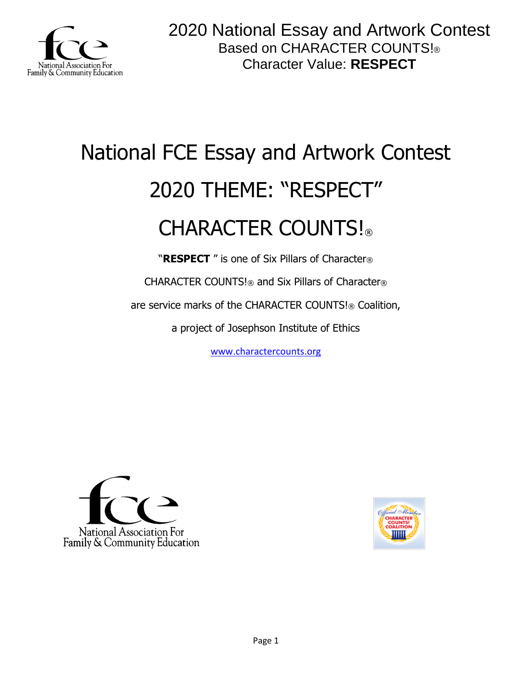

# National FCE Essay and Artwork Contest 2020 THEME: "RESPECT" CHARACTER COUNTS!

"**RESPECT** " is one of Six Pillars of Character®

CHARACTER COUNTS!® and Six Pillars of Character®

are service marks of the CHARACTER COUNTS!® Coalition,

a project of Josephson Institute of Ethics

[www.charactercounts.org](http://www.charactercounts.org/)



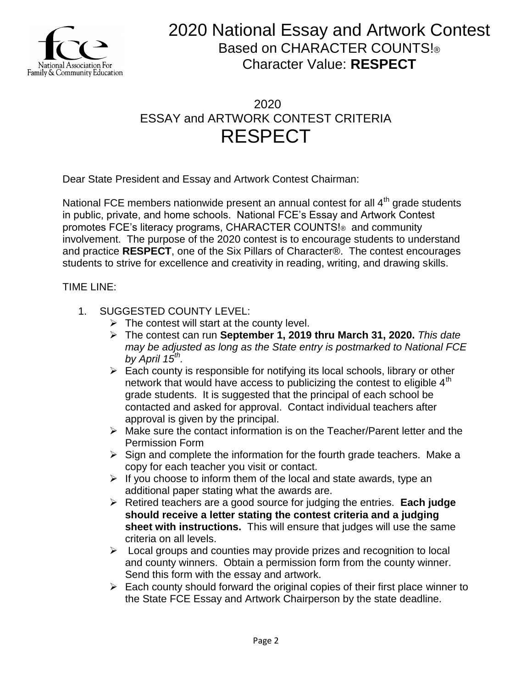

### 2020 ESSAY and ARTWORK CONTEST CRITERIA RESPECT

Dear State President and Essay and Artwork Contest Chairman:

National FCE members nationwide present an annual contest for all  $4<sup>th</sup>$  grade students in public, private, and home schools. National FCE's Essay and Artwork Contest promotes FCE's literacy programs, CHARACTER COUNTS!® and community involvement. The purpose of the 2020 contest is to encourage students to understand and practice **RESPECT**, one of the Six Pillars of Character®. The contest encourages students to strive for excellence and creativity in reading, writing, and drawing skills.

TIME LINE:

- 1. SUGGESTED COUNTY LEVEL:
	- $\triangleright$  The contest will start at the county level.
	- The contest can run **September 1, 2019 thru March 31, 2020.** *This date may be adjusted as long as the State entry is postmarked to National FCE by April 15th .*
	- $\triangleright$  Each county is responsible for notifying its local schools, library or other network that would have access to publicizing the contest to eligible  $4<sup>th</sup>$ grade students. It is suggested that the principal of each school be contacted and asked for approval. Contact individual teachers after approval is given by the principal.
	- $\triangleright$  Make sure the contact information is on the Teacher/Parent letter and the Permission Form
	- $\triangleright$  Sign and complete the information for the fourth grade teachers. Make a copy for each teacher you visit or contact.
	- $\triangleright$  If you choose to inform them of the local and state awards, type an additional paper stating what the awards are.
	- Retired teachers are a good source for judging the entries. **Each judge should receive a letter stating the contest criteria and a judging sheet with instructions.** This will ensure that judges will use the same criteria on all levels.
	- $\triangleright$  Local groups and counties may provide prizes and recognition to local and county winners. Obtain a permission form from the county winner. Send this form with the essay and artwork.
	- $\triangleright$  Each county should forward the original copies of their first place winner to the State FCE Essay and Artwork Chairperson by the state deadline.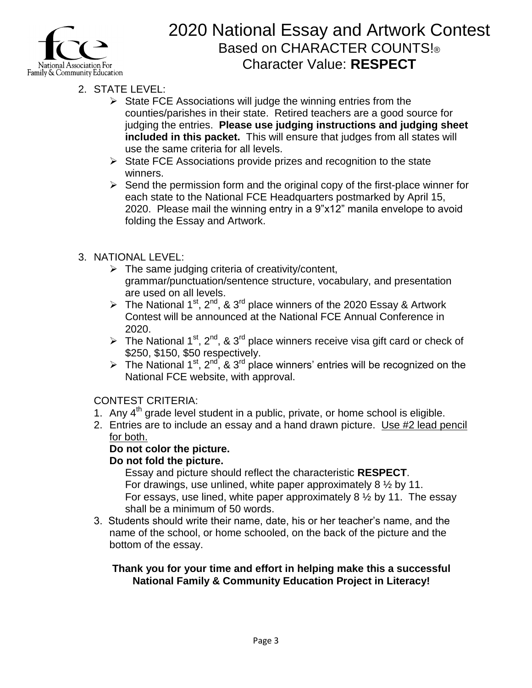

- 2. STATE LEVEL:
	- $\triangleright$  State FCE Associations will judge the winning entries from the counties/parishes in their state. Retired teachers are a good source for judging the entries. **Please use judging instructions and judging sheet included in this packet.** This will ensure that judges from all states will use the same criteria for all levels.
	- $\triangleright$  State FCE Associations provide prizes and recognition to the state winners.
	- $\triangleright$  Send the permission form and the original copy of the first-place winner for each state to the National FCE Headquarters postmarked by April 15, 2020. Please mail the winning entry in a 9"x12" manila envelope to avoid folding the Essay and Artwork.

### 3. NATIONAL LEVEL:

- $\triangleright$  The same judging criteria of creativity/content, grammar/punctuation/sentence structure, vocabulary, and presentation are used on all levels.
- The National 1<sup>st</sup>, 2<sup>nd</sup>, & 3<sup>rd</sup> place winners of the 2020 Essay & Artwork Contest will be announced at the National FCE Annual Conference in 2020.
- The National 1<sup>st</sup>, 2<sup>nd</sup>, & 3<sup>rd</sup> place winners receive visa gift card or check of \$250, \$150, \$50 respectively.
- The National 1<sup>st</sup>, 2<sup>nd</sup>, & 3<sup>rd</sup> place winners' entries will be recognized on the National FCE website, with approval.

#### CONTEST CRITERIA:

- 1. Any  $4<sup>th</sup>$  grade level student in a public, private, or home school is eligible.
- 2. Entries are to include an essay and a hand drawn picture. Use #2 lead pencil for both.

#### **Do not color the picture.**

#### **Do not fold the picture.**

Essay and picture should reflect the characteristic **RESPECT**. For drawings, use unlined, white paper approximately  $8\frac{1}{2}$  by 11. For essays, use lined, white paper approximately  $8\frac{1}{2}$  by 11. The essay shall be a minimum of 50 words.

3. Students should write their name, date, his or her teacher's name, and the name of the school, or home schooled, on the back of the picture and the bottom of the essay.

#### **Thank you for your time and effort in helping make this a successful National Family & Community Education Project in Literacy!**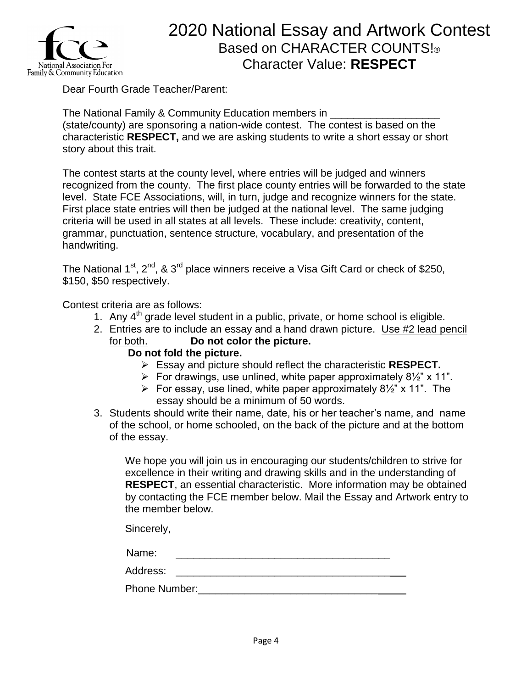

Dear Fourth Grade Teacher/Parent:

The National Family & Community Education members in \_\_\_\_\_\_\_\_\_\_\_\_\_\_\_\_\_\_\_ (state/county) are sponsoring a nation-wide contest. The contest is based on the characteristic **RESPECT,** and we are asking students to write a short essay or short story about this trait.

The contest starts at the county level, where entries will be judged and winners recognized from the county. The first place county entries will be forwarded to the state level. State FCE Associations, will, in turn, judge and recognize winners for the state. First place state entries will then be judged at the national level. The same judging criteria will be used in all states at all levels. These include: creativity, content, grammar, punctuation, sentence structure, vocabulary, and presentation of the handwriting.

The National  $1<sup>st</sup>$ ,  $2<sup>nd</sup>$ , &  $3<sup>rd</sup>$  place winners receive a Visa Gift Card or check of \$250, \$150, \$50 respectively.

Contest criteria are as follows:

- 1. Any  $4<sup>th</sup>$  grade level student in a public, private, or home school is eligible.
- 2. Entries are to include an essay and a hand drawn picture. Use #2 lead pencil for both. **Do not color the picture.**

#### **Do not fold the picture.**

- Essay and picture should reflect the characteristic **RESPECT.**
- For drawings, use unlined, white paper approximately  $8\frac{1}{2}$  x 11".
- For essay, use lined, white paper approximately  $8\frac{1}{2}$ " x 11". The essay should be a minimum of 50 words.
- 3. Students should write their name, date, his or her teacher's name, and name of the school, or home schooled, on the back of the picture and at the bottom of the essay.

We hope you will join us in encouraging our students/children to strive for excellence in their writing and drawing skills and in the understanding of **RESPECT**, an essential characteristic. More information may be obtained by contacting the FCE member below. Mail the Essay and Artwork entry to the member below.

Sincerely,

| Name:    |  |
|----------|--|
| Address: |  |

| <b>Phone Number:</b> |  |
|----------------------|--|
|----------------------|--|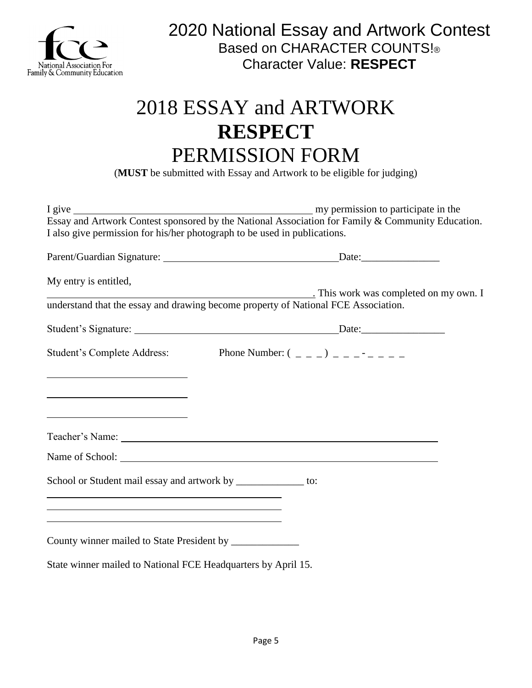

## 2018 ESSAY and ARTWORK **RESPECT** PERMISSION FORM

(**MUST** be submitted with Essay and Artwork to be eligible for judging)

| I also give permission for his/her photograph to be used in publications.                                             |                                      |
|-----------------------------------------------------------------------------------------------------------------------|--------------------------------------|
|                                                                                                                       |                                      |
| My entry is entitled,                                                                                                 | This work was completed on my own. I |
| understand that the essay and drawing become property of National FCE Association.                                    |                                      |
|                                                                                                                       |                                      |
| Student's Complete Address: Phone Number: $(2, 2)$                                                                    |                                      |
|                                                                                                                       |                                      |
|                                                                                                                       |                                      |
| <u> 1989 - Johann John Stone, meil in der Stone und der Stone und der Stone und der Stone und der Stone und der S</u> |                                      |
|                                                                                                                       |                                      |
|                                                                                                                       |                                      |
| School or Student mail essay and artwork by _____________ to:                                                         |                                      |
| <u> 1989 - Johann Stoff, amerikansk politiker (* 1908)</u>                                                            |                                      |
| County winner mailed to State President by ______________                                                             |                                      |
| State winner mailed to National FCE Headquarters by April 15.                                                         |                                      |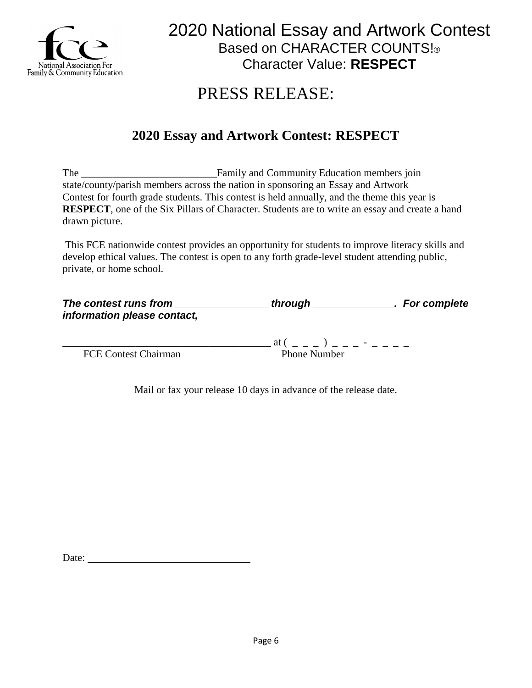

### PRESS RELEASE:

### **2020 Essay and Artwork Contest: RESPECT**

The Family and Community Education members join state/county/parish members across the nation in sponsoring an Essay and Artwork Contest for fourth grade students. This contest is held annually, and the theme this year is **RESPECT**, one of the Six Pillars of Character. Students are to write an essay and create a hand drawn picture.

This FCE nationwide contest provides an opportunity for students to improve literacy skills and develop ethical values. The contest is open to any forth grade-level student attending public, private, or home school.

| The contest runs from       | through | . For complete |
|-----------------------------|---------|----------------|
| information please contact, |         |                |
|                             |         |                |

FCE Contest Chairman Phone Number

 $\mathfrak{a} \mathfrak{t}$  ( \_ \_ \_ ) \_ \_ \_ - \_ \_ \_ \_

Mail or fax your release 10 days in advance of the release date.

Date: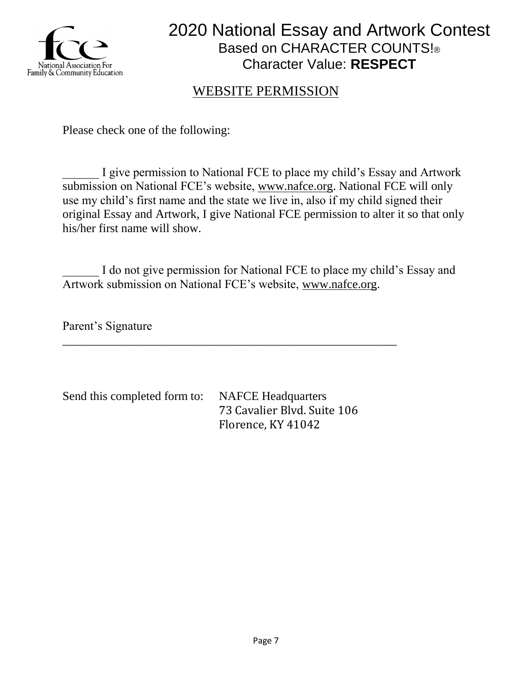

### WEBSITE PERMISSION

Please check one of the following:

I give permission to National FCE to place my child's Essay and Artwork submission on National FCE's website, [www.nafce.org.](http://www.nafce.org/) National FCE will only use my child's first name and the state we live in, also if my child signed their original Essay and Artwork, I give National FCE permission to alter it so that only his/her first name will show.

I do not give permission for National FCE to place my child's Essay and Artwork submission on National FCE's website, [www.nafce.org.](http://www.nafce.org/)

\_\_\_\_\_\_\_\_\_\_\_\_\_\_\_\_\_\_\_\_\_\_\_\_\_\_\_\_\_\_\_\_\_\_\_\_\_\_\_\_\_\_\_\_\_\_\_\_\_\_\_\_\_\_\_

Parent's Signature

Send this completed form to: NAFCE Headquarters

73 Cavalier Blvd. Suite 106 Florence, KY 41042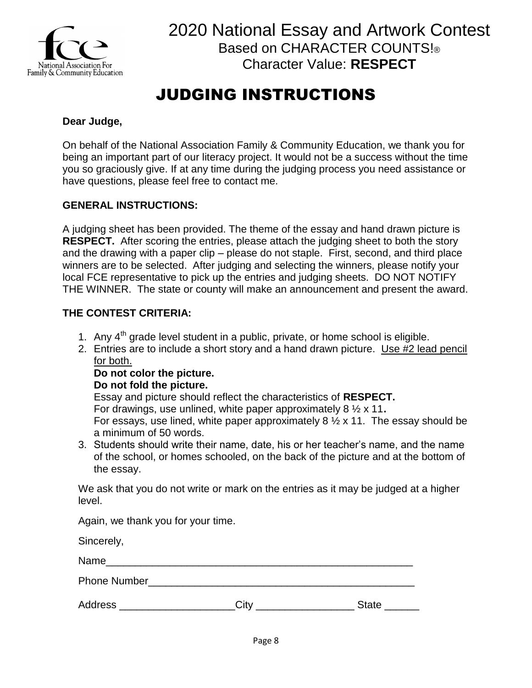

### JUDGING INSTRUCTIONS

#### **Dear Judge,**

On behalf of the National Association Family & Community Education, we thank you for being an important part of our literacy project. It would not be a success without the time you so graciously give. If at any time during the judging process you need assistance or have questions, please feel free to contact me.

#### **GENERAL INSTRUCTIONS:**

A judging sheet has been provided. The theme of the essay and hand drawn picture is **RESPECT.** After scoring the entries, please attach the judging sheet to both the story and the drawing with a paper clip – please do not staple. First, second, and third place winners are to be selected. After judging and selecting the winners, please notify your local FCE representative to pick up the entries and judging sheets. DO NOT NOTIFY THE WINNER. The state or county will make an announcement and present the award.

#### **THE CONTEST CRITERIA:**

- 1. Any  $4<sup>th</sup>$  grade level student in a public, private, or home school is eligible.
- 2. Entries are to include a short story and a hand drawn picture. Use #2 lead pencil for both.

#### **Do not color the picture.**

#### **Do not fold the picture.**

Essay and picture should reflect the characteristics of **RESPECT.** For drawings, use unlined, white paper approximately 8 ½ x 11**.** For essays, use lined, white paper approximately  $8\frac{1}{2}$  x 11. The essay should be a minimum of 50 words.

3. Students should write their name, date, his or her teacher's name, and the name of the school, or homes schooled, on the back of the picture and at the bottom of the essay.

We ask that you do not write or mark on the entries as it may be judged at a higher level.

Again, we thank you for your time.

Sincerely,

Name\_\_\_\_\_\_\_\_\_\_\_\_\_\_\_\_\_\_\_\_\_\_\_\_\_\_\_\_\_\_\_\_\_\_\_\_\_\_\_\_\_\_\_\_\_\_\_\_\_\_\_\_\_

Phone Number\_\_\_\_\_\_\_\_\_\_\_\_\_\_\_\_\_\_\_\_\_\_\_\_\_\_\_\_\_\_\_\_\_\_\_\_\_\_\_\_\_\_\_\_\_\_

| <b>Address</b><br>City | <b>State</b> |
|------------------------|--------------|
|------------------------|--------------|